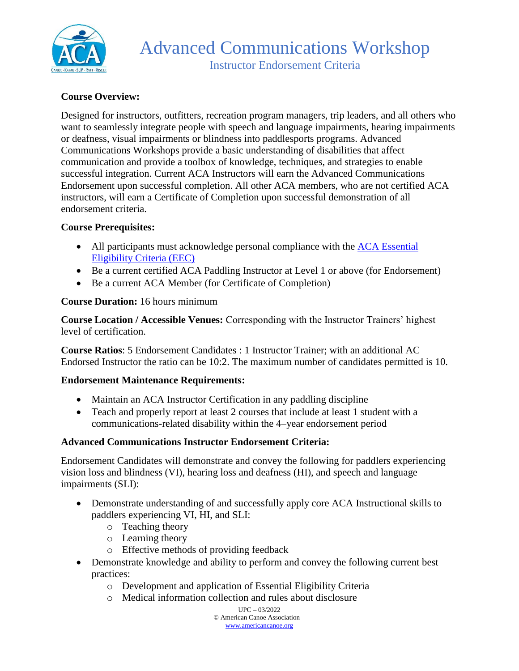

# **Course Overview:**

Designed for instructors, outfitters, recreation program managers, trip leaders, and all others who want to seamlessly integrate people with speech and language impairments, hearing impairments or deafness, visual impairments or blindness into paddlesports programs. Advanced Communications Workshops provide a basic understanding of disabilities that affect communication and provide a toolbox of knowledge, techniques, and strategies to enable successful integration. Current ACA Instructors will earn the Advanced Communications Endorsement upon successful completion. All other ACA members, who are not certified ACA instructors, will earn a Certificate of Completion upon successful demonstration of all endorsement criteria.

## **Course Prerequisites:**

- All participants must acknowledge personal compliance with the ACA Essential [Eligibility Criteria \(EEC\)](https://americancanoe.org/essential-eligibility-criteria/)
- Be a current certified ACA Paddling Instructor at Level 1 or above (for Endorsement)
- Be a current ACA Member (for Certificate of Completion)

### **Course Duration:** 16 hours minimum

**Course Location / Accessible Venues:** Corresponding with the Instructor Trainers' highest level of certification.

**Course Ratios**: 5 Endorsement Candidates : 1 Instructor Trainer; with an additional AC Endorsed Instructor the ratio can be 10:2. The maximum number of candidates permitted is 10.

## **Endorsement Maintenance Requirements:**

- Maintain an ACA Instructor Certification in any paddling discipline
- Teach and properly report at least 2 courses that include at least 1 student with a communications-related disability within the 4–year endorsement period

#### **Advanced Communications Instructor Endorsement Criteria:**

Endorsement Candidates will demonstrate and convey the following for paddlers experiencing vision loss and blindness (VI), hearing loss and deafness (HI), and speech and language impairments (SLI):

- Demonstrate understanding of and successfully apply core ACA Instructional skills to paddlers experiencing VI, HI, and SLI:
	- o Teaching theory
	- o Learning theory
	- o Effective methods of providing feedback
- Demonstrate knowledge and ability to perform and convey the following current best practices:
	- o Development and application of Essential Eligibility Criteria
	- o Medical information collection and rules about disclosure